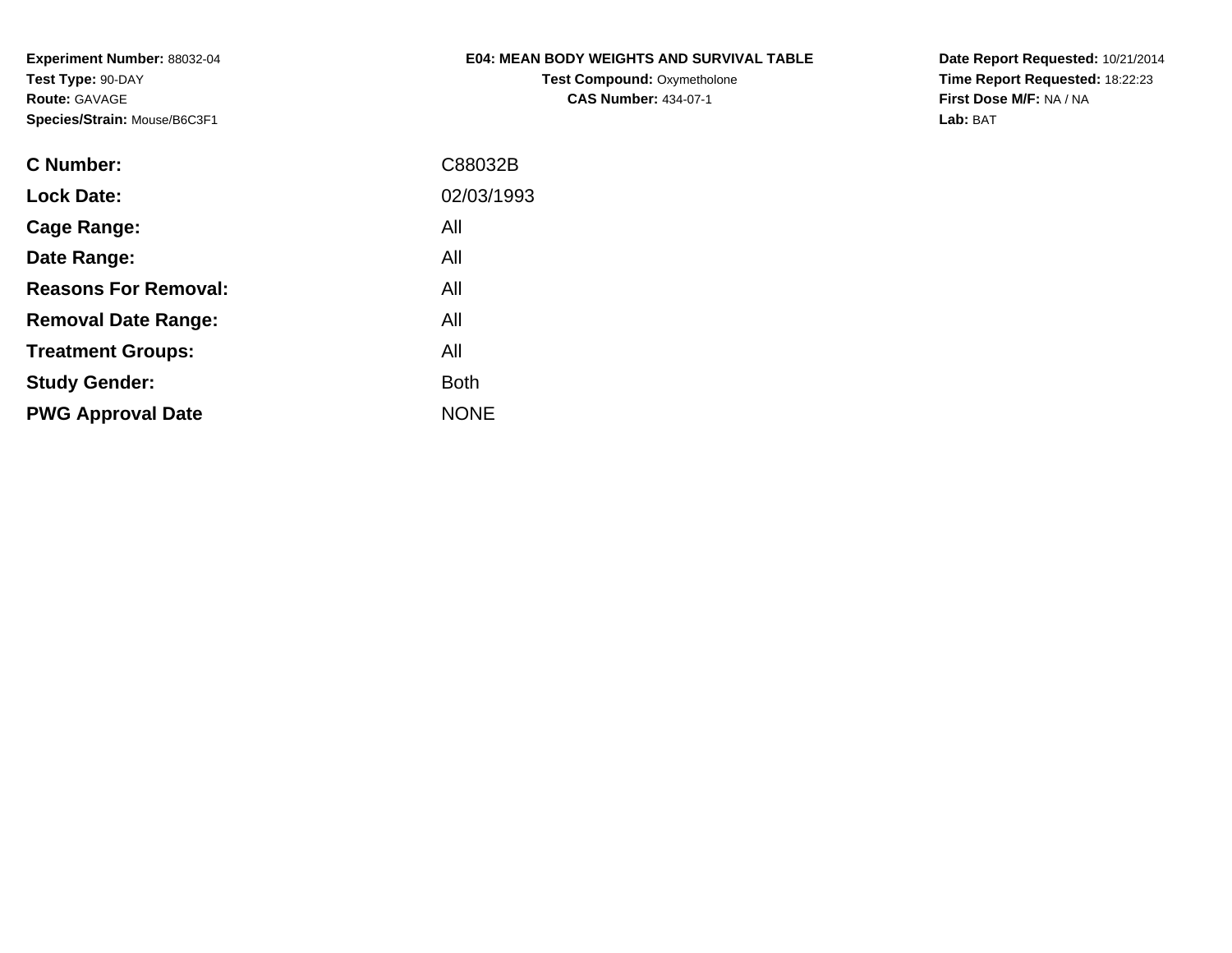**Experiment Number:** 88032-04**Test Type:** 90-DAY**Route:** GAVAGE**Species/Strain:** Mouse/B6C3F1

## **E04: MEAN BODY WEIGHTS AND SURVIVAL TABLE**

**Test Compound:** Oxymetholone**CAS Number:** 434-07-1

**Date Report Requested:** 10/21/2014 **Time Report Requested:** 18:22:23**First Dose M/F:** NA / NA**Lab:** BAT

| C88032B     |
|-------------|
| 02/03/1993  |
| All         |
| All         |
| All         |
| All         |
| All         |
| <b>Both</b> |
| <b>NONE</b> |
|             |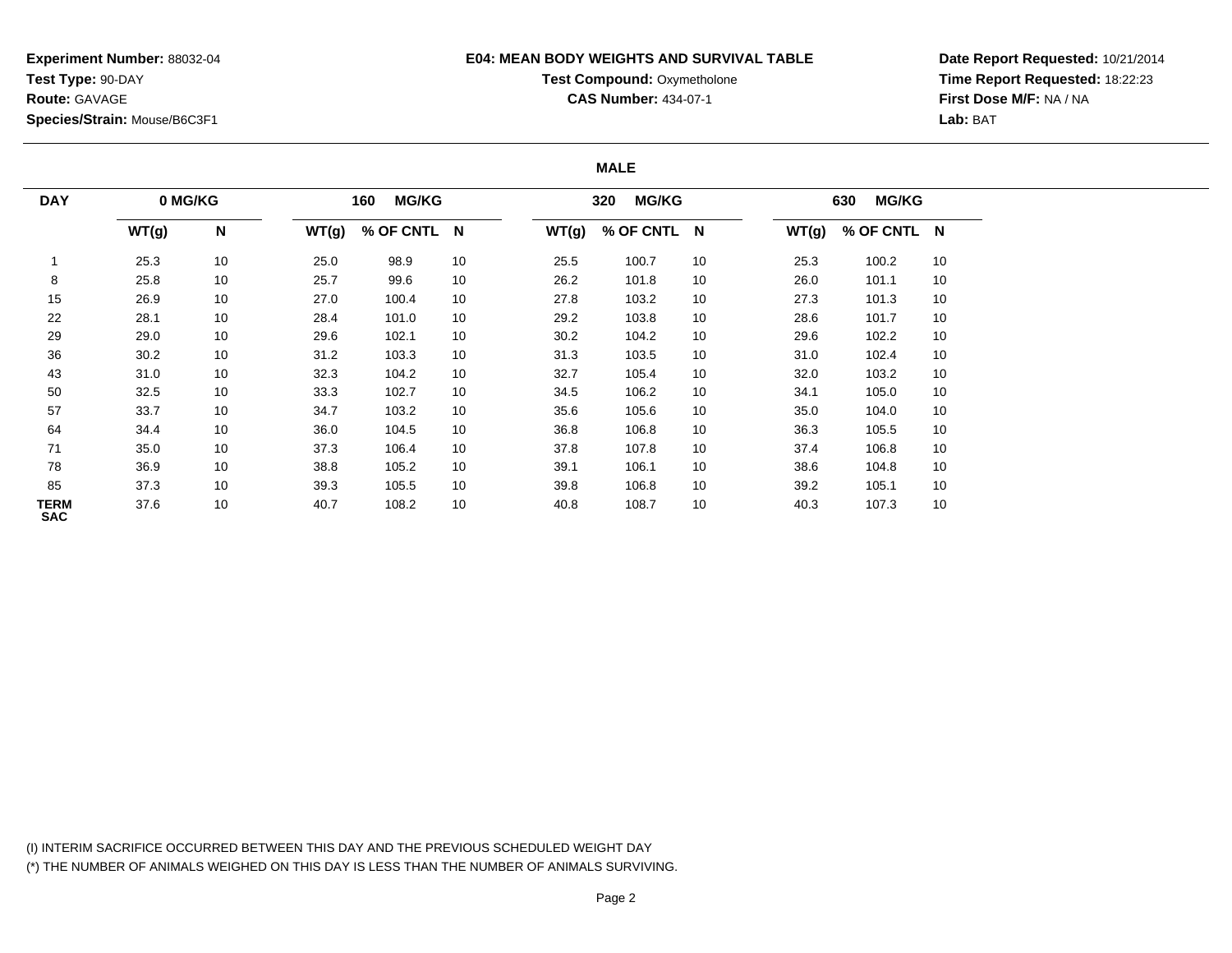**Experiment Number:** 88032-04**Test Type:** 90-DAY**Route:** GAVAGE**Species/Strain:** Mouse/B6C3F1

### **E04: MEAN BODY WEIGHTS AND SURVIVAL TABLE**

# **Test Compound: Oxymetholone**

**CAS Number:** 434-07-1

**Date Report Requested:** 10/21/2014**Time Report Requested:** 18:22:23**First Dose M/F:** NA / NA**Lab:** BAT

#### **MALE**

| <b>DAY</b>         | 0 MG/KG |    |       | <b>MG/KG</b><br>160 |    |       | <b>MG/KG</b><br>320 |    |       | <b>MG/KG</b><br>630 |    |
|--------------------|---------|----|-------|---------------------|----|-------|---------------------|----|-------|---------------------|----|
|                    | WT(g)   | N  | WT(g) | % OF CNTL N         |    | WT(g) | % OF CNTL N         |    | WT(g) | % OF CNTL N         |    |
|                    | 25.3    | 10 | 25.0  | 98.9                | 10 | 25.5  | 100.7               | 10 | 25.3  | 100.2               | 10 |
| 8                  | 25.8    | 10 | 25.7  | 99.6                | 10 | 26.2  | 101.8               | 10 | 26.0  | 101.1               | 10 |
| 15                 | 26.9    | 10 | 27.0  | 100.4               | 10 | 27.8  | 103.2               | 10 | 27.3  | 101.3               | 10 |
| 22                 | 28.1    | 10 | 28.4  | 101.0               | 10 | 29.2  | 103.8               | 10 | 28.6  | 101.7               | 10 |
| 29                 | 29.0    | 10 | 29.6  | 102.1               | 10 | 30.2  | 104.2               | 10 | 29.6  | 102.2               | 10 |
| 36                 | 30.2    | 10 | 31.2  | 103.3               | 10 | 31.3  | 103.5               | 10 | 31.0  | 102.4               | 10 |
| 43                 | 31.0    | 10 | 32.3  | 104.2               | 10 | 32.7  | 105.4               | 10 | 32.0  | 103.2               | 10 |
| 50                 | 32.5    | 10 | 33.3  | 102.7               | 10 | 34.5  | 106.2               | 10 | 34.1  | 105.0               | 10 |
| 57                 | 33.7    | 10 | 34.7  | 103.2               | 10 | 35.6  | 105.6               | 10 | 35.0  | 104.0               | 10 |
| 64                 | 34.4    | 10 | 36.0  | 104.5               | 10 | 36.8  | 106.8               | 10 | 36.3  | 105.5               | 10 |
| 71                 | 35.0    | 10 | 37.3  | 106.4               | 10 | 37.8  | 107.8               | 10 | 37.4  | 106.8               | 10 |
| 78                 | 36.9    | 10 | 38.8  | 105.2               | 10 | 39.1  | 106.1               | 10 | 38.6  | 104.8               | 10 |
| 85                 | 37.3    | 10 | 39.3  | 105.5               | 10 | 39.8  | 106.8               | 10 | 39.2  | 105.1               | 10 |
| TERM<br><b>SAC</b> | 37.6    | 10 | 40.7  | 108.2               | 10 | 40.8  | 108.7               | 10 | 40.3  | 107.3               | 10 |

(I) INTERIM SACRIFICE OCCURRED BETWEEN THIS DAY AND THE PREVIOUS SCHEDULED WEIGHT DAY(\*) THE NUMBER OF ANIMALS WEIGHED ON THIS DAY IS LESS THAN THE NUMBER OF ANIMALS SURVIVING.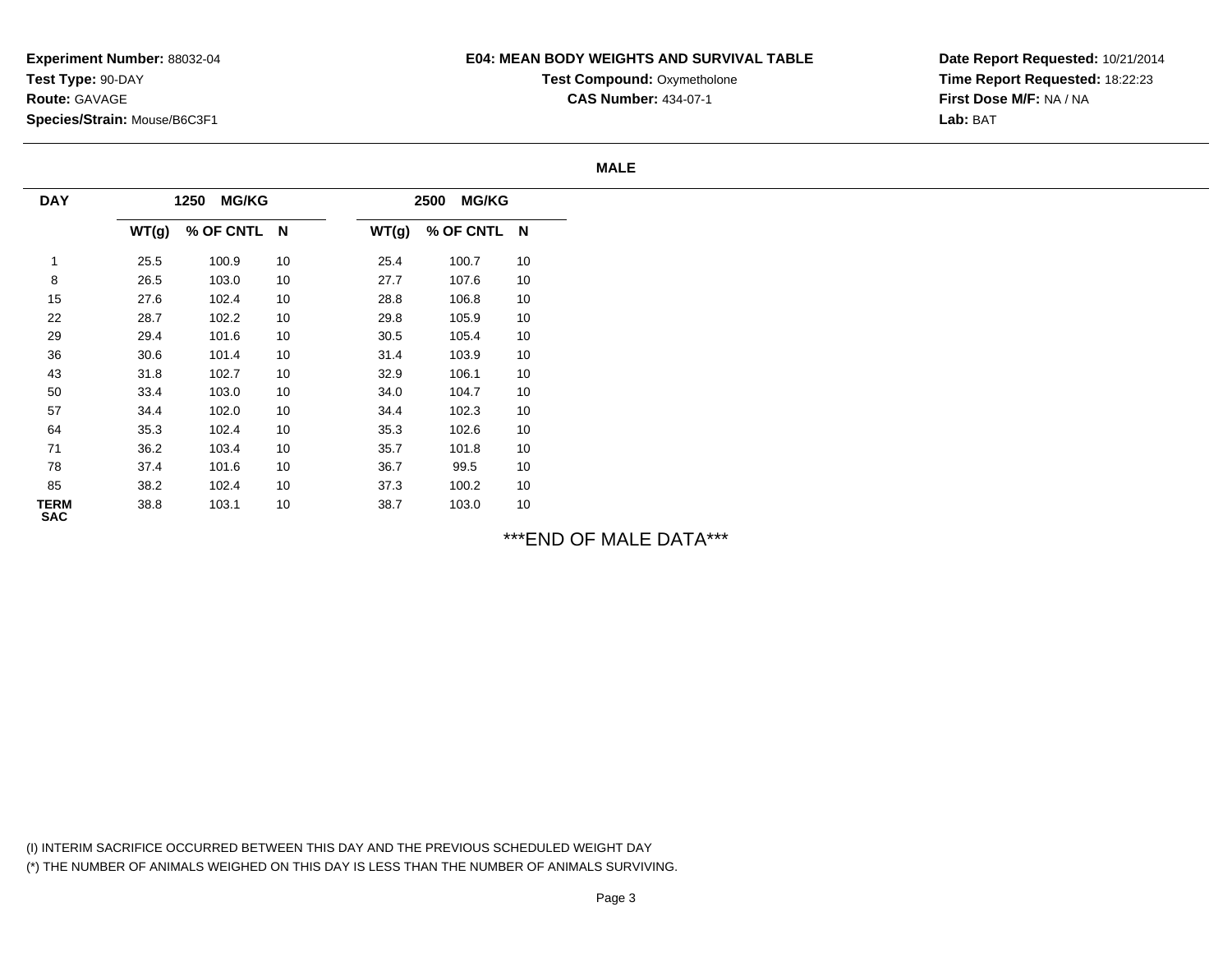## **E04: MEAN BODY WEIGHTS AND SURVIVAL TABLE**

**Test Compound: Oxymetholone** 

**CAS Number:** 434-07-1

**Date Report Requested:** 10/21/2014**Time Report Requested:** 18:22:23**First Dose M/F:** NA / NA**Lab:** BAT

#### **MALE**

| <b>DAY</b>                |       | 1250 MG/KG  |    |       | <b>MG/KG</b><br>2500 |    |
|---------------------------|-------|-------------|----|-------|----------------------|----|
|                           | WT(g) | % OF CNTL N |    | WT(g) | % OF CNTL N          |    |
|                           | 25.5  | 100.9       | 10 | 25.4  | 100.7                | 10 |
| 8                         | 26.5  | 103.0       | 10 | 27.7  | 107.6                | 10 |
| 15                        | 27.6  | 102.4       | 10 | 28.8  | 106.8                | 10 |
| 22                        | 28.7  | 102.2       | 10 | 29.8  | 105.9                | 10 |
| 29                        | 29.4  | 101.6       | 10 | 30.5  | 105.4                | 10 |
| 36                        | 30.6  | 101.4       | 10 | 31.4  | 103.9                | 10 |
| 43                        | 31.8  | 102.7       | 10 | 32.9  | 106.1                | 10 |
| 50                        | 33.4  | 103.0       | 10 | 34.0  | 104.7                | 10 |
| 57                        | 34.4  | 102.0       | 10 | 34.4  | 102.3                | 10 |
| 64                        | 35.3  | 102.4       | 10 | 35.3  | 102.6                | 10 |
| 71                        | 36.2  | 103.4       | 10 | 35.7  | 101.8                | 10 |
| 78                        | 37.4  | 101.6       | 10 | 36.7  | 99.5                 | 10 |
| 85                        | 38.2  | 102.4       | 10 | 37.3  | 100.2                | 10 |
| <b>TERM</b><br><b>SAC</b> | 38.8  | 103.1       | 10 | 38.7  | 103.0                | 10 |

\*\*\*END OF MALE DATA\*\*\*

(I) INTERIM SACRIFICE OCCURRED BETWEEN THIS DAY AND THE PREVIOUS SCHEDULED WEIGHT DAY(\*) THE NUMBER OF ANIMALS WEIGHED ON THIS DAY IS LESS THAN THE NUMBER OF ANIMALS SURVIVING.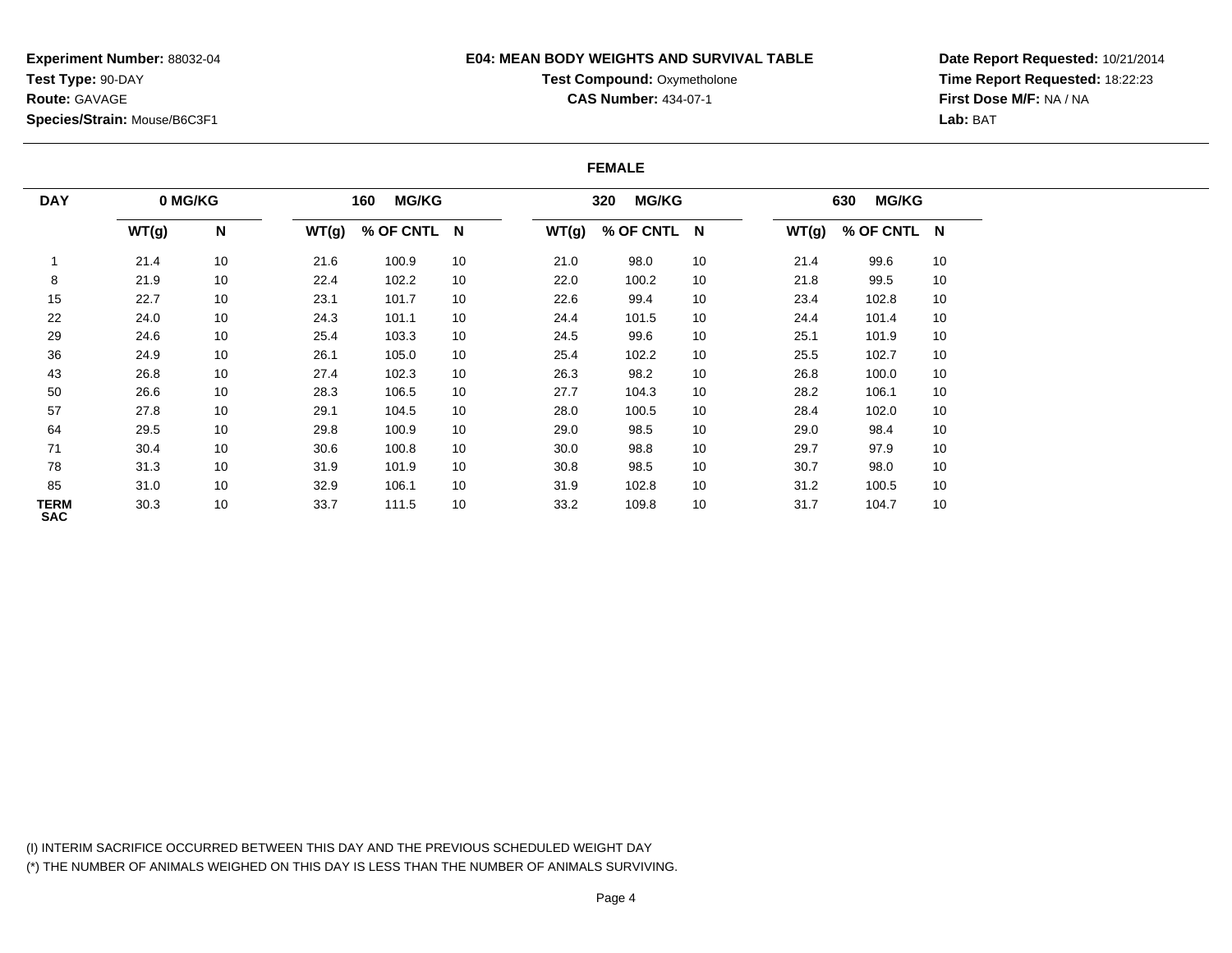**Experiment Number:** 88032-04**Test Type:** 90-DAY**Route:** GAVAGE**Species/Strain:** Mouse/B6C3F1

### **E04: MEAN BODY WEIGHTS AND SURVIVAL TABLE**

# **Test Compound: Oxymetholone**

**CAS Number:** 434-07-1

**Date Report Requested:** 10/21/2014**Time Report Requested:** 18:22:23**First Dose M/F:** NA / NA**Lab:** BAT

#### **FEMALE**

| <b>DAY</b>         | 0 MG/KG |    |       | <b>MG/KG</b><br>160 |    |       | <b>MG/KG</b><br>320 |    |       | <b>MG/KG</b><br>630 |    |
|--------------------|---------|----|-------|---------------------|----|-------|---------------------|----|-------|---------------------|----|
|                    | WT(g)   | N  | WT(g) | % OF CNTL N         |    | WT(g) | % OF CNTL N         |    | WT(g) | % OF CNTL N         |    |
|                    | 21.4    | 10 | 21.6  | 100.9               | 10 | 21.0  | 98.0                | 10 | 21.4  | 99.6                | 10 |
| 8                  | 21.9    | 10 | 22.4  | 102.2               | 10 | 22.0  | 100.2               | 10 | 21.8  | 99.5                | 10 |
| 15                 | 22.7    | 10 | 23.1  | 101.7               | 10 | 22.6  | 99.4                | 10 | 23.4  | 102.8               | 10 |
| 22                 | 24.0    | 10 | 24.3  | 101.1               | 10 | 24.4  | 101.5               | 10 | 24.4  | 101.4               | 10 |
| 29                 | 24.6    | 10 | 25.4  | 103.3               | 10 | 24.5  | 99.6                | 10 | 25.1  | 101.9               | 10 |
| 36                 | 24.9    | 10 | 26.1  | 105.0               | 10 | 25.4  | 102.2               | 10 | 25.5  | 102.7               | 10 |
| 43                 | 26.8    | 10 | 27.4  | 102.3               | 10 | 26.3  | 98.2                | 10 | 26.8  | 100.0               | 10 |
| 50                 | 26.6    | 10 | 28.3  | 106.5               | 10 | 27.7  | 104.3               | 10 | 28.2  | 106.1               | 10 |
| 57                 | 27.8    | 10 | 29.1  | 104.5               | 10 | 28.0  | 100.5               | 10 | 28.4  | 102.0               | 10 |
| 64                 | 29.5    | 10 | 29.8  | 100.9               | 10 | 29.0  | 98.5                | 10 | 29.0  | 98.4                | 10 |
| 71                 | 30.4    | 10 | 30.6  | 100.8               | 10 | 30.0  | 98.8                | 10 | 29.7  | 97.9                | 10 |
| 78                 | 31.3    | 10 | 31.9  | 101.9               | 10 | 30.8  | 98.5                | 10 | 30.7  | 98.0                | 10 |
| 85                 | 31.0    | 10 | 32.9  | 106.1               | 10 | 31.9  | 102.8               | 10 | 31.2  | 100.5               | 10 |
| TERM<br><b>SAC</b> | 30.3    | 10 | 33.7  | 111.5               | 10 | 33.2  | 109.8               | 10 | 31.7  | 104.7               | 10 |